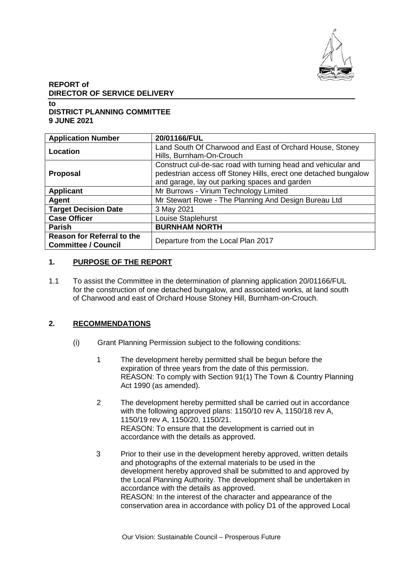

# **REPORT of DIRECTOR OF SERVICE DELIVERY**

**to**

# **DISTRICT PLANNING COMMITTEE 9 JUNE 2021**

| <b>Application Number</b>                                       | 20/01166/FUL                                                                                                                                                                      |
|-----------------------------------------------------------------|-----------------------------------------------------------------------------------------------------------------------------------------------------------------------------------|
| Location                                                        | Land South Of Charwood and East of Orchard House, Stoney<br>Hills, Burnham-On-Crouch                                                                                              |
| <b>Proposal</b>                                                 | Construct cul-de-sac road with turning head and vehicular and<br>pedestrian access off Stoney Hills, erect one detached bungalow<br>and garage, lay out parking spaces and garden |
| <b>Applicant</b>                                                | Mr Burrows - Virium Technology Limited                                                                                                                                            |
| Agent                                                           | Mr Stewart Rowe - The Planning And Design Bureau Ltd                                                                                                                              |
| <b>Target Decision Date</b>                                     | 3 May 2021                                                                                                                                                                        |
| <b>Case Officer</b>                                             | Louise Staplehurst                                                                                                                                                                |
| <b>Parish</b>                                                   | <b>BURNHAM NORTH</b>                                                                                                                                                              |
| <b>Reason for Referral to the</b><br><b>Committee / Council</b> | Departure from the Local Plan 2017                                                                                                                                                |

## **1. PURPOSE OF THE REPORT**

1.1 To assist the Committee in the determination of planning application 20/01166/FUL for the construction of one detached bungalow, and associated works, at land south of Charwood and east of Orchard House Stoney Hill, Burnham-on-Crouch.

## **2. RECOMMENDATIONS**

- (i) Grant Planning Permission subject to the following conditions:
	- 1 The development hereby permitted shall be begun before the expiration of three years from the date of this permission. REASON: To comply with Section 91(1) The Town & Country Planning Act 1990 (as amended).
	- 2 The development hereby permitted shall be carried out in accordance with the following approved plans: 1150/10 rev A, 1150/18 rev A, 1150/19 rev A, 1150/20, 1150/21. REASON: To ensure that the development is carried out in accordance with the details as approved.
	- 3 Prior to their use in the development hereby approved, written details and photographs of the external materials to be used in the development hereby approved shall be submitted to and approved by the Local Planning Authority. The development shall be undertaken in accordance with the details as approved. REASON: In the interest of the character and appearance of the conservation area in accordance with policy D1 of the approved Local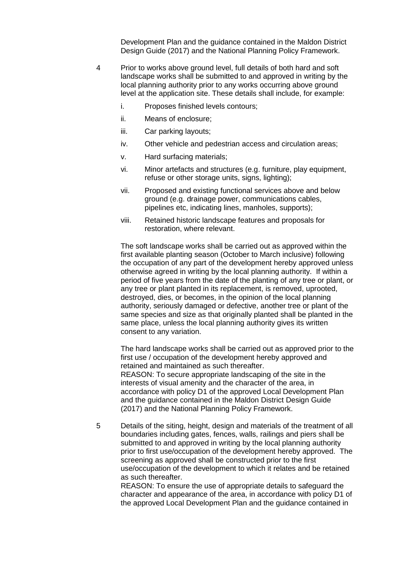Development Plan and the guidance contained in the Maldon District Design Guide (2017) and the National Planning Policy Framework.

- 4 Prior to works above ground level, full details of both hard and soft landscape works shall be submitted to and approved in writing by the local planning authority prior to any works occurring above ground level at the application site. These details shall include, for example:
	- i. Proposes finished levels contours;
	- ii. Means of enclosure;
	- iii. Car parking layouts;
	- iv. Other vehicle and pedestrian access and circulation areas;
	- v. Hard surfacing materials;
	- vi. Minor artefacts and structures (e.g. furniture, play equipment, refuse or other storage units, signs, lighting);
	- vii. Proposed and existing functional services above and below ground (e.g. drainage power, communications cables, pipelines etc, indicating lines, manholes, supports);
	- viii. Retained historic landscape features and proposals for restoration, where relevant.

The soft landscape works shall be carried out as approved within the first available planting season (October to March inclusive) following the occupation of any part of the development hereby approved unless otherwise agreed in writing by the local planning authority. If within a period of five years from the date of the planting of any tree or plant, or any tree or plant planted in its replacement, is removed, uprooted, destroyed, dies, or becomes, in the opinion of the local planning authority, seriously damaged or defective, another tree or plant of the same species and size as that originally planted shall be planted in the same place, unless the local planning authority gives its written consent to any variation.

The hard landscape works shall be carried out as approved prior to the first use / occupation of the development hereby approved and retained and maintained as such thereafter. REASON: To secure appropriate landscaping of the site in the interests of visual amenity and the character of the area, in accordance with policy D1 of the approved Local Development Plan and the guidance contained in the Maldon District Design Guide (2017) and the National Planning Policy Framework.

5 Details of the siting, height, design and materials of the treatment of all boundaries including gates, fences, walls, railings and piers shall be submitted to and approved in writing by the local planning authority prior to first use/occupation of the development hereby approved. The screening as approved shall be constructed prior to the first use/occupation of the development to which it relates and be retained as such thereafter.

REASON: To ensure the use of appropriate details to safeguard the character and appearance of the area, in accordance with policy D1 of the approved Local Development Plan and the guidance contained in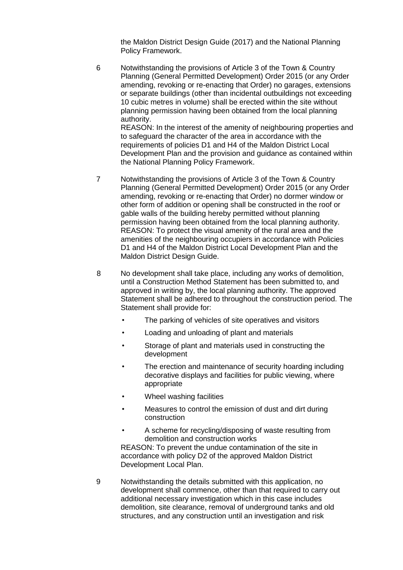the Maldon District Design Guide (2017) and the National Planning Policy Framework.

6 Notwithstanding the provisions of Article 3 of the Town & Country Planning (General Permitted Development) Order 2015 (or any Order amending, revoking or re-enacting that Order) no garages, extensions or separate buildings (other than incidental outbuildings not exceeding 10 cubic metres in volume) shall be erected within the site without planning permission having been obtained from the local planning authority.

REASON: In the interest of the amenity of neighbouring properties and to safeguard the character of the area in accordance with the requirements of policies D1 and H4 of the Maldon District Local Development Plan and the provision and guidance as contained within the National Planning Policy Framework.

- 7 Notwithstanding the provisions of Article 3 of the Town & Country Planning (General Permitted Development) Order 2015 (or any Order amending, revoking or re-enacting that Order) no dormer window or other form of addition or opening shall be constructed in the roof or gable walls of the building hereby permitted without planning permission having been obtained from the local planning authority. REASON: To protect the visual amenity of the rural area and the amenities of the neighbouring occupiers in accordance with Policies D1 and H4 of the Maldon District Local Development Plan and the Maldon District Design Guide.
- 8 No development shall take place, including any works of demolition, until a Construction Method Statement has been submitted to, and approved in writing by, the local planning authority. The approved Statement shall be adhered to throughout the construction period. The Statement shall provide for:
	- The parking of vehicles of site operatives and visitors
	- Loading and unloading of plant and materials
	- Storage of plant and materials used in constructing the development
	- The erection and maintenance of security hoarding including decorative displays and facilities for public viewing, where appropriate
	- Wheel washing facilities
	- Measures to control the emission of dust and dirt during construction
	- A scheme for recycling/disposing of waste resulting from demolition and construction works

REASON: To prevent the undue contamination of the site in accordance with policy D2 of the approved Maldon District Development Local Plan.

9 Notwithstanding the details submitted with this application, no development shall commence, other than that required to carry out additional necessary investigation which in this case includes demolition, site clearance, removal of underground tanks and old structures, and any construction until an investigation and risk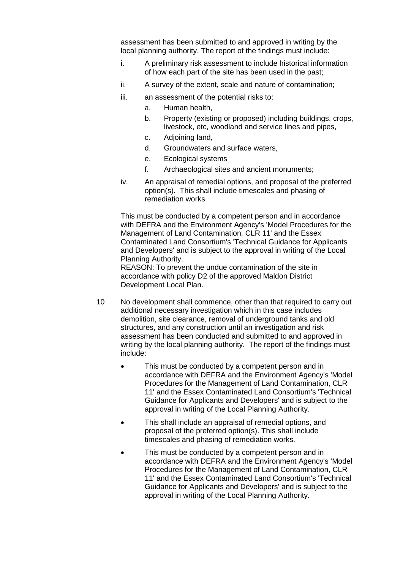assessment has been submitted to and approved in writing by the local planning authority. The report of the findings must include:

- i. A preliminary risk assessment to include historical information of how each part of the site has been used in the past;
- ii. A survey of the extent, scale and nature of contamination;
- iii. an assessment of the potential risks to:
	- a. Human health,
	- b. Property (existing or proposed) including buildings, crops, livestock, etc, woodland and service lines and pipes,
	- c. Adjoining land,
	- d. Groundwaters and surface waters,
	- e. Ecological systems
	- f. Archaeological sites and ancient monuments;
- iv. An appraisal of remedial options, and proposal of the preferred option(s). This shall include timescales and phasing of remediation works

This must be conducted by a competent person and in accordance with DEFRA and the Environment Agency's 'Model Procedures for the Management of Land Contamination, CLR 11' and the Essex Contaminated Land Consortium's 'Technical Guidance for Applicants and Developers' and is subject to the approval in writing of the Local Planning Authority.

REASON: To prevent the undue contamination of the site in accordance with policy D2 of the approved Maldon District Development Local Plan.

- 10 No development shall commence, other than that required to carry out additional necessary investigation which in this case includes demolition, site clearance, removal of underground tanks and old structures, and any construction until an investigation and risk assessment has been conducted and submitted to and approved in writing by the local planning authority. The report of the findings must include:
	- This must be conducted by a competent person and in accordance with DEFRA and the Environment Agency's 'Model Procedures for the Management of Land Contamination, CLR 11' and the Essex Contaminated Land Consortium's 'Technical Guidance for Applicants and Developers' and is subject to the approval in writing of the Local Planning Authority.
	- This shall include an appraisal of remedial options, and proposal of the preferred option(s). This shall include timescales and phasing of remediation works.
	- This must be conducted by a competent person and in accordance with DEFRA and the Environment Agency's 'Model Procedures for the Management of Land Contamination, CLR 11' and the Essex Contaminated Land Consortium's 'Technical Guidance for Applicants and Developers' and is subject to the approval in writing of the Local Planning Authority.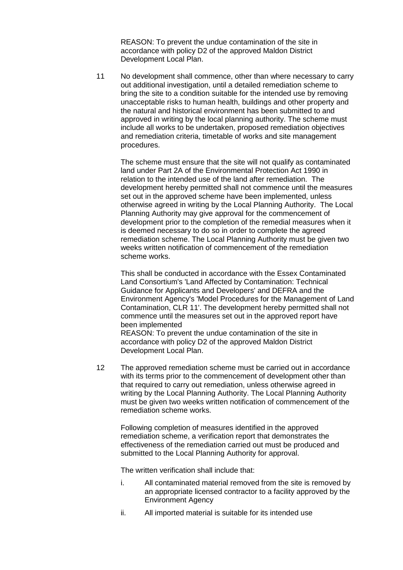REASON: To prevent the undue contamination of the site in accordance with policy D2 of the approved Maldon District Development Local Plan.

11 No development shall commence, other than where necessary to carry out additional investigation, until a detailed remediation scheme to bring the site to a condition suitable for the intended use by removing unacceptable risks to human health, buildings and other property and the natural and historical environment has been submitted to and approved in writing by the local planning authority. The scheme must include all works to be undertaken, proposed remediation objectives and remediation criteria, timetable of works and site management procedures.

The scheme must ensure that the site will not qualify as contaminated land under Part 2A of the Environmental Protection Act 1990 in relation to the intended use of the land after remediation. The development hereby permitted shall not commence until the measures set out in the approved scheme have been implemented, unless otherwise agreed in writing by the Local Planning Authority. The Local Planning Authority may give approval for the commencement of development prior to the completion of the remedial measures when it is deemed necessary to do so in order to complete the agreed remediation scheme. The Local Planning Authority must be given two weeks written notification of commencement of the remediation scheme works.

This shall be conducted in accordance with the Essex Contaminated Land Consortium's 'Land Affected by Contamination: Technical Guidance for Applicants and Developers' and DEFRA and the Environment Agency's 'Model Procedures for the Management of Land Contamination, CLR 11'. The development hereby permitted shall not commence until the measures set out in the approved report have been implemented

REASON: To prevent the undue contamination of the site in accordance with policy D2 of the approved Maldon District Development Local Plan.

12 The approved remediation scheme must be carried out in accordance with its terms prior to the commencement of development other than that required to carry out remediation, unless otherwise agreed in writing by the Local Planning Authority. The Local Planning Authority must be given two weeks written notification of commencement of the remediation scheme works.

Following completion of measures identified in the approved remediation scheme, a verification report that demonstrates the effectiveness of the remediation carried out must be produced and submitted to the Local Planning Authority for approval.

The written verification shall include that:

- i. All contaminated material removed from the site is removed by an appropriate licensed contractor to a facility approved by the Environment Agency
- ii. All imported material is suitable for its intended use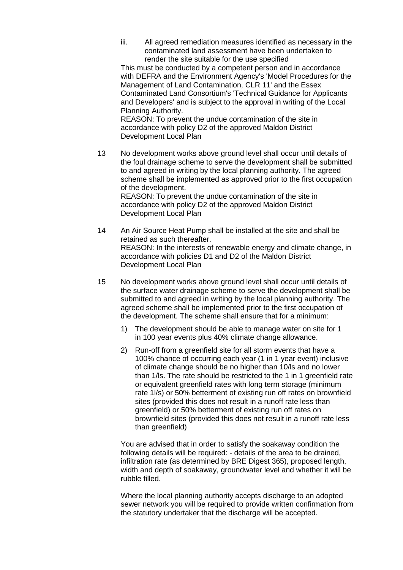iii. All agreed remediation measures identified as necessary in the contaminated land assessment have been undertaken to render the site suitable for the use specified

This must be conducted by a competent person and in accordance with DEFRA and the Environment Agency's 'Model Procedures for the Management of Land Contamination, CLR 11' and the Essex Contaminated Land Consortium's 'Technical Guidance for Applicants and Developers' and is subject to the approval in writing of the Local Planning Authority.

REASON: To prevent the undue contamination of the site in accordance with policy D2 of the approved Maldon District Development Local Plan

13 No development works above ground level shall occur until details of the foul drainage scheme to serve the development shall be submitted to and agreed in writing by the local planning authority. The agreed scheme shall be implemented as approved prior to the first occupation of the development. REASON: To prevent the undue contamination of the site in accordance with policy D2 of the approved Maldon District

14 An Air Source Heat Pump shall be installed at the site and shall be retained as such thereafter. REASON: In the interests of renewable energy and climate change, in accordance with policies D1 and D2 of the Maldon District Development Local Plan

Development Local Plan

- 15 No development works above ground level shall occur until details of the surface water drainage scheme to serve the development shall be submitted to and agreed in writing by the local planning authority. The agreed scheme shall be implemented prior to the first occupation of the development. The scheme shall ensure that for a minimum:
	- 1) The development should be able to manage water on site for 1 in 100 year events plus 40% climate change allowance.
	- 2) Run-off from a greenfield site for all storm events that have a 100% chance of occurring each year (1 in 1 year event) inclusive of climate change should be no higher than 10/ls and no lower than 1/ls. The rate should be restricted to the 1 in 1 greenfield rate or equivalent greenfield rates with long term storage (minimum rate 1l/s) or 50% betterment of existing run off rates on brownfield sites (provided this does not result in a runoff rate less than greenfield) or 50% betterment of existing run off rates on brownfield sites (provided this does not result in a runoff rate less than greenfield)

You are advised that in order to satisfy the soakaway condition the following details will be required: - details of the area to be drained, infiltration rate (as determined by BRE Digest 365), proposed length, width and depth of soakaway, groundwater level and whether it will be rubble filled.

Where the local planning authority accepts discharge to an adopted sewer network you will be required to provide written confirmation from the statutory undertaker that the discharge will be accepted.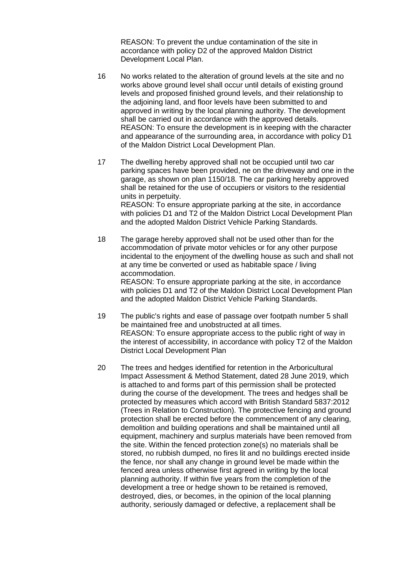REASON: To prevent the undue contamination of the site in accordance with policy D2 of the approved Maldon District Development Local Plan.

- 16 No works related to the alteration of ground levels at the site and no works above ground level shall occur until details of existing ground levels and proposed finished ground levels, and their relationship to the adjoining land, and floor levels have been submitted to and approved in writing by the local planning authority. The development shall be carried out in accordance with the approved details. REASON: To ensure the development is in keeping with the character and appearance of the surrounding area, in accordance with policy D1 of the Maldon District Local Development Plan.
- 17 The dwelling hereby approved shall not be occupied until two car parking spaces have been provided, ne on the driveway and one in the garage, as shown on plan 1150/18. The car parking hereby approved shall be retained for the use of occupiers or visitors to the residential units in perpetuity. REASON: To ensure appropriate parking at the site, in accordance with policies D1 and T2 of the Maldon District Local Development Plan and the adopted Maldon District Vehicle Parking Standards.
- 18 The garage hereby approved shall not be used other than for the accommodation of private motor vehicles or for any other purpose incidental to the enjoyment of the dwelling house as such and shall not at any time be converted or used as habitable space / living accommodation. REASON: To ensure appropriate parking at the site, in accordance

with policies D1 and T2 of the Maldon District Local Development Plan and the adopted Maldon District Vehicle Parking Standards.

- 19 The public's rights and ease of passage over footpath number 5 shall be maintained free and unobstructed at all times. REASON: To ensure appropriate access to the public right of way in the interest of accessibility, in accordance with policy T2 of the Maldon District Local Development Plan
- 20 The trees and hedges identified for retention in the Arboricultural Impact Assessment & Method Statement, dated 28 June 2019, which is attached to and forms part of this permission shall be protected during the course of the development. The trees and hedges shall be protected by measures which accord with British Standard 5837:2012 (Trees in Relation to Construction). The protective fencing and ground protection shall be erected before the commencement of any clearing, demolition and building operations and shall be maintained until all equipment, machinery and surplus materials have been removed from the site. Within the fenced protection zone(s) no materials shall be stored, no rubbish dumped, no fires lit and no buildings erected inside the fence, nor shall any change in ground level be made within the fenced area unless otherwise first agreed in writing by the local planning authority. If within five years from the completion of the development a tree or hedge shown to be retained is removed, destroyed, dies, or becomes, in the opinion of the local planning authority, seriously damaged or defective, a replacement shall be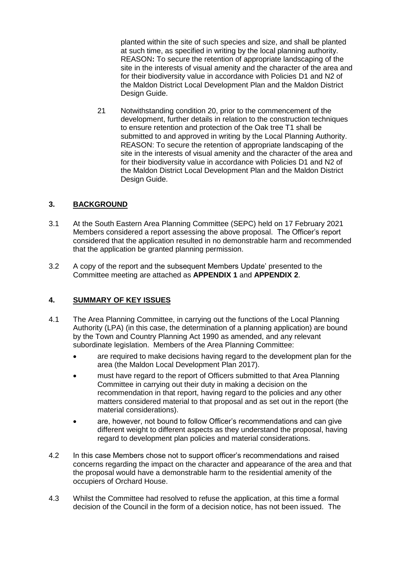planted within the site of such species and size, and shall be planted at such time, as specified in writing by the local planning authority. REASON**:** To secure the retention of appropriate landscaping of the site in the interests of visual amenity and the character of the area and for their biodiversity value in accordance with Policies D1 and N2 of the Maldon District Local Development Plan and the Maldon District Design Guide.

21 Notwithstanding condition 20, prior to the commencement of the development, further details in relation to the construction techniques to ensure retention and protection of the Oak tree T1 shall be submitted to and approved in writing by the Local Planning Authority. REASON: To secure the retention of appropriate landscaping of the site in the interests of visual amenity and the character of the area and for their biodiversity value in accordance with Policies D1 and N2 of the Maldon District Local Development Plan and the Maldon District Design Guide.

## **3. BACKGROUND**

- 3.1 At the South Eastern Area Planning Committee (SEPC) held on 17 February 2021 Members considered a report assessing the above proposal. The Officer's report considered that the application resulted in no demonstrable harm and recommended that the application be granted planning permission.
- 3.2 A copy of the report and the subsequent Members Update' presented to the Committee meeting are attached as **APPENDIX 1** and **APPENDIX 2**.

## **4. SUMMARY OF KEY ISSUES**

- 4.1 The Area Planning Committee, in carrying out the functions of the Local Planning Authority (LPA) (in this case, the determination of a planning application) are bound by the Town and Country Planning Act 1990 as amended, and any relevant subordinate legislation. Members of the Area Planning Committee:
	- are required to make decisions having regard to the development plan for the area (the Maldon Local Development Plan 2017).
	- must have regard to the report of Officers submitted to that Area Planning Committee in carrying out their duty in making a decision on the recommendation in that report, having regard to the policies and any other matters considered material to that proposal and as set out in the report (the material considerations).
	- are, however, not bound to follow Officer's recommendations and can give different weight to different aspects as they understand the proposal, having regard to development plan policies and material considerations.
- 4.2 In this case Members chose not to support officer's recommendations and raised concerns regarding the impact on the character and appearance of the area and that the proposal would have a demonstrable harm to the residential amenity of the occupiers of Orchard House.
- 4.3 Whilst the Committee had resolved to refuse the application, at this time a formal decision of the Council in the form of a decision notice, has not been issued. The